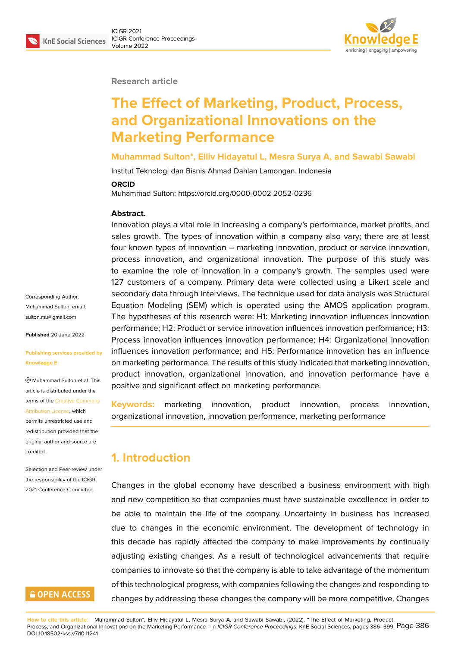

#### **Research article**

# **The Effect of Marketing, Product, Process, and Organizational Innovations on the Marketing Performance**

#### **Muhammad Sulton\*, Elliv Hidayatul L, Mesra Surya A, and Sawabi Sawabi**

Institut Teknologi dan Bisnis Ahmad Dahlan Lamongan, Indonesia

#### **ORCID**

Muhammad Sulton: https://orcid.org/0000-0002-2052-0236

#### **Abstract.**

Innovation plays a vital role in increasing a company's performance, market profits, and sales growth. The types of innovation within a company also vary; there are at least four known types of innovation – marketing innovation, product or service innovation, process innovation, and organizational innovation. The purpose of this study was to examine the role of innovation in a company's growth. The samples used were 127 customers of a company. Primary data were collected using a Likert scale and secondary data through interviews. The technique used for data analysis was Structural Equation Modeling (SEM) which is operated using the AMOS application program. The hypotheses of this research were: H1: Marketing innovation influences innovation performance; H2: Product or service innovation influences innovation performance; H3: Process innovation influences innovation performance; H4: Organizational innovation influences innovation performance; and H5: Performance innovation has an influence on marketing performance. The results of this study indicated that marketing innovation, product innovation, organizational innovation, and innovation performance have a positive and significant effect on marketing performance.

**Keywords:** marketing innovation, product innovation, process innovation, organizational innovation, innovation performance, marketing performance

### **1. Introduction**

Changes in the global economy have described a business environment with high and new competition so that companies must have sustainable excellence in order to be able to maintain the life of the company. Uncertainty in business has increased due to changes in the economic environment. The development of technology in this decade has rapidly affected the company to make improvements by continually adjusting existing changes. As a result of technological advancements that require companies to innovate so that the company is able to take advantage of the momentum of this technological progress, with companies following the changes and responding to changes by addressing these changes the company will be more competitive. Changes

Corresponding Author: Muhammad Sulton; email: sulton.mu@gmail.com

**Published** 20 June 2022

#### **[Publishing services p](mailto:sulton.mu@gmail.com)rovided by Knowledge E**

Muhammad Sulton et al. This article is distributed under the terms of the Creative Commons Attribution License, which

permits unrestricted use and redistribution provided that the original auth[or and source are](https://creativecommons.org/licenses/by/4.0/) [credited.](https://creativecommons.org/licenses/by/4.0/)

Selection and Peer-review under the responsibility of the ICIGR 2021 Conference Committee.

# **GOPEN ACCESS**

**How to cite this article**: Muhammad Sulton\*, Elliv Hidayatul L, Mesra Surya A, and Sawabi Sawabi, (2022), "The Effect of Marketing, Product, Process, and Organizational Innovations on the Marketing Performance " in *ICIGR Conference Proceedings*, KnE Social Sciences, pages 386–399. Page 386 DOI 10.18502/kss.v7i10.11241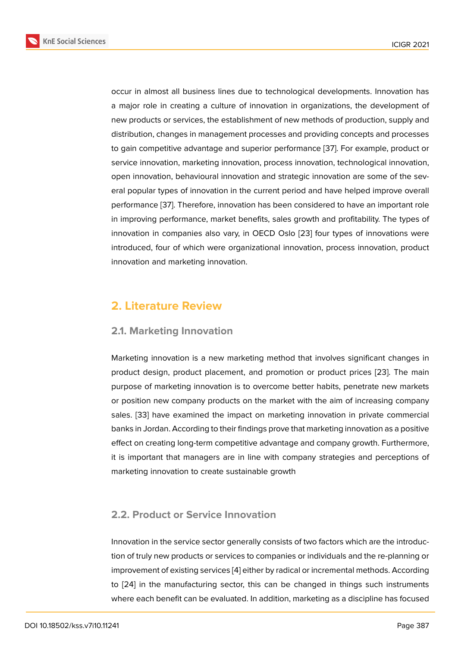occur in almost all business lines due to technological developments. Innovation has a major role in creating a culture of innovation in organizations, the development of new products or services, the establishment of new methods of production, supply and distribution, changes in management processes and providing concepts and processes to gain competitive advantage and superior performance [37]. For example, product or service innovation, marketing innovation, process innovation, technological innovation, open innovation, behavioural innovation and strategic innovation are some of the several popular types of innovation in the current period and [hav](#page-13-0)e helped improve overall performance [37]. Therefore, innovation has been considered to have an important role in improving performance, market benefits, sales growth and profitability. The types of innovation in companies also vary, in OECD Oslo [23] four types of innovations were introduced, f[our](#page-13-0) of which were organizational innovation, process innovation, product innovation and marketing innovation.

## **2. Literature Review**

### **2.1. Marketing Innovation**

Marketing innovation is a new marketing method that involves significant changes in product design, product placement, and promotion or product prices [23]. The main purpose of marketing innovation is to overcome better habits, penetrate new markets or position new company products on the market with the aim of increasing company sales. [33] have examined the impact on marketing innovation in priv[ate](#page-12-0) commercial banks in Jordan. According to their findings prove that marketing innovation as a positive effect on creating long-term competitive advantage and company growth. Furthermore, it is im[por](#page-13-1)tant that managers are in line with company strategies and perceptions of marketing innovation to create sustainable growth

### **2.2. Product or Service Innovation**

Innovation in the service sector generally consists of two factors which are the introduction of truly new products or services to companies or individuals and the re-planning or improvement of existing services [4] either by radical or incremental methods. According to [24] in the manufacturing sector, this can be changed in things such instruments where each benefit can be evaluated. In addition, marketing as a discipline has focused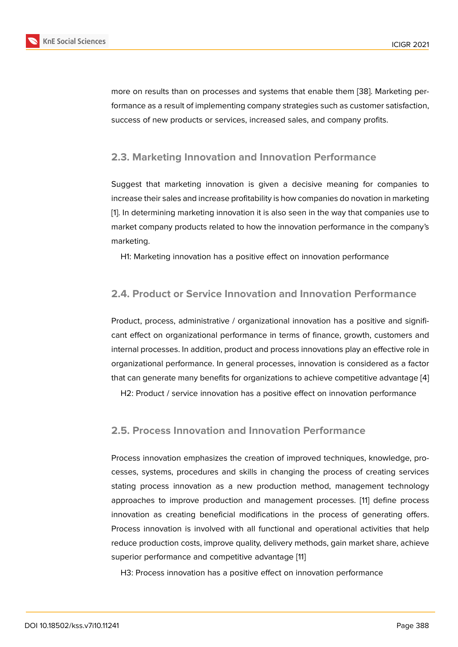more on results than on processes and systems that enable them [38]. Marketing performance as a result of implementing company strategies such as customer satisfaction, success of new products or services, increased sales, and company profits.

### **2.3. Marketing Innovation and Innovation Performance**

Suggest that marketing innovation is given a decisive meaning for companies to increase their sales and increase profitability is how companies do novation in marketing [1]. In determining marketing innovation it is also seen in the way that companies use to market company products related to how the innovation performance in the company's marketing.

H1: Marketing innovation has a positive effect on innovation performance

### **2.4. Product or Service Innovation and Innovation Performance**

Product, process, administrative / organizational innovation has a positive and significant effect on organizational performance in terms of finance, growth, customers and internal processes. In addition, product and process innovations play an effective role in organizational performance. In general processes, innovation is considered as a factor that can generate many benefits for organizations to achieve competitive advantage [4]

H2: Product / service innovation has a positive effect on innovation performance

### **2.5. Process Innovation and Innovation Performance**

Process innovation emphasizes the creation of improved techniques, knowledge, processes, systems, procedures and skills in changing the process of creating services stating process innovation as a new production method, management technology approaches to improve production and management processes. [11] define process innovation as creating beneficial modifications in the process of generating offers. Process innovation is involved with all functional and operational activities that help reduce production costs, improve quality, delivery methods, gain ma[rke](#page-11-0)t share, achieve superior performance and competitive advantage [11]

H3: Process innovation has a positive effect on innovation performance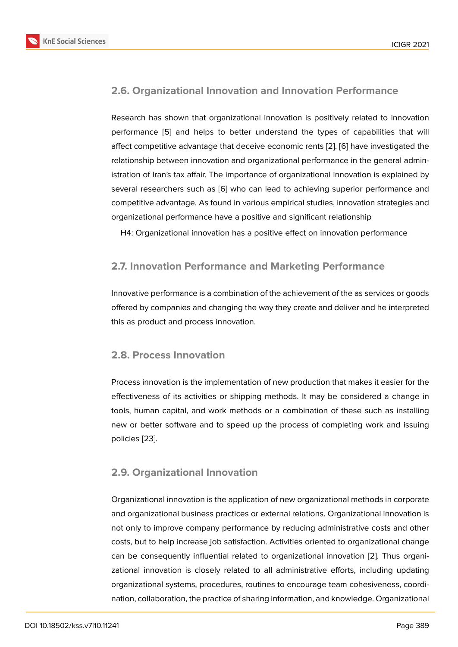### **2.6. Organizational Innovation and Innovation Performance**

Research has shown that organizational innovation is positively related to innovation performance [5] and helps to better understand the types of capabilities that will affect competitive advantage that deceive economic rents [2]. [6] have investigated the relationship between innovation and organizational performance in the general administration of Ira[n's](#page-11-1) tax affair. The importance of organizational innovation is explained by several researchers such as [6] who can lead to achievin[g s](#page-11-2)u[pe](#page-11-3)rior performance and competitive advantage. As found in various empirical studies, innovation strategies and organizational performance have a positive and significant relationship

H4: Organizational innovati[on](#page-11-3) has a positive effect on innovation performance

### **2.7. Innovation Performance and Marketing Performance**

Innovative performance is a combination of the achievement of the as services or goods offered by companies and changing the way they create and deliver and he interpreted this as product and process innovation.

### **2.8. Process Innovation**

Process innovation is the implementation of new production that makes it easier for the effectiveness of its activities or shipping methods. It may be considered a change in tools, human capital, and work methods or a combination of these such as installing new or better software and to speed up the process of completing work and issuing policies [23].

### **2.9. O[rga](#page-12-0)nizational Innovation**

Organizational innovation is the application of new organizational methods in corporate and organizational business practices or external relations. Organizational innovation is not only to improve company performance by reducing administrative costs and other costs, but to help increase job satisfaction. Activities oriented to organizational change can be consequently influential related to organizational innovation [2]. Thus organizational innovation is closely related to all administrative efforts, including updating organizational systems, procedures, routines to encourage team cohesiveness, coordination, collaboration, the practice of sharing information, and knowledg[e.](#page-11-2) Organizational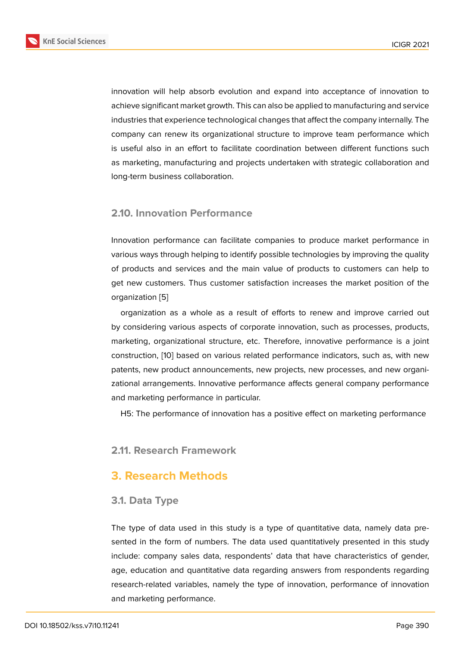innovation will help absorb evolution and expand into acceptance of innovation to achieve significant market growth. This can also be applied to manufacturing and service industries that experience technological changes that affect the company internally. The company can renew its organizational structure to improve team performance which is useful also in an effort to facilitate coordination between different functions such as marketing, manufacturing and projects undertaken with strategic collaboration and long-term business collaboration.

### **2.10. Innovation Performance**

Innovation performance can facilitate companies to produce market performance in various ways through helping to identify possible technologies by improving the quality of products and services and the main value of products to customers can help to get new customers. Thus customer satisfaction increases the market position of the organization [5]

organization as a whole as a result of efforts to renew and improve carried out by considering various aspects of corporate innovation, such as processes, products, marketing, or[ga](#page-11-1)nizational structure, etc. Therefore, innovative performance is a joint construction, [10] based on various related performance indicators, such as, with new patents, new product announcements, new projects, new processes, and new organizational arrangements. Innovative performance affects general company performance and marketin[g p](#page-11-4)erformance in particular.

H5: The performance of innovation has a positive effect on marketing performance

### **2.11. Research Framework**

### **3. Research Methods**

### **3.1. Data Type**

The type of data used in this study is a type of quantitative data, namely data presented in the form of numbers. The data used quantitatively presented in this study include: company sales data, respondents' data that have characteristics of gender, age, education and quantitative data regarding answers from respondents regarding research-related variables, namely the type of innovation, performance of innovation and marketing performance.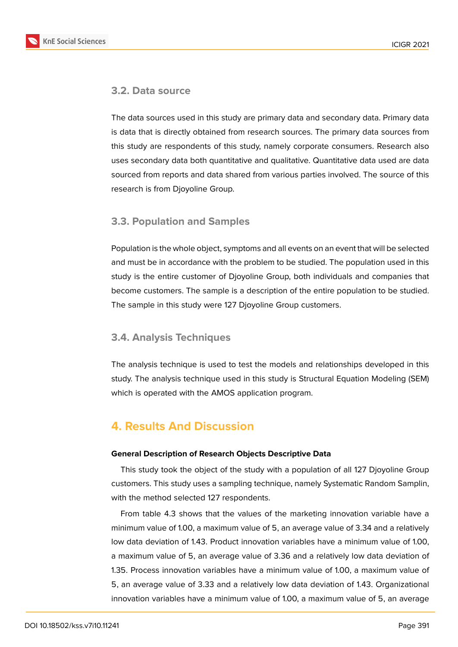

### **3.2. Data source**

The data sources used in this study are primary data and secondary data. Primary data is data that is directly obtained from research sources. The primary data sources from this study are respondents of this study, namely corporate consumers. Research also uses secondary data both quantitative and qualitative. Quantitative data used are data sourced from reports and data shared from various parties involved. The source of this research is from Djoyoline Group.

### **3.3. Population and Samples**

Population is the whole object, symptoms and all events on an event that will be selected and must be in accordance with the problem to be studied. The population used in this study is the entire customer of Djoyoline Group, both individuals and companies that become customers. The sample is a description of the entire population to be studied. The sample in this study were 127 Djoyoline Group customers.

### **3.4. Analysis Techniques**

The analysis technique is used to test the models and relationships developed in this study. The analysis technique used in this study is Structural Equation Modeling (SEM) which is operated with the AMOS application program.

# **4. Results And Discussion**

#### **General Description of Research Objects Descriptive Data**

This study took the object of the study with a population of all 127 Djoyoline Group customers. This study uses a sampling technique, namely Systematic Random Samplin, with the method selected 127 respondents.

From table 4.3 shows that the values of the marketing innovation variable have a minimum value of 1.00, a maximum value of 5, an average value of 3.34 and a relatively low data deviation of 1.43. Product innovation variables have a minimum value of 1.00, a maximum value of 5, an average value of 3.36 and a relatively low data deviation of 1.35. Process innovation variables have a minimum value of 1.00, a maximum value of 5, an average value of 3.33 and a relatively low data deviation of 1.43. Organizational innovation variables have a minimum value of 1.00, a maximum value of 5, an average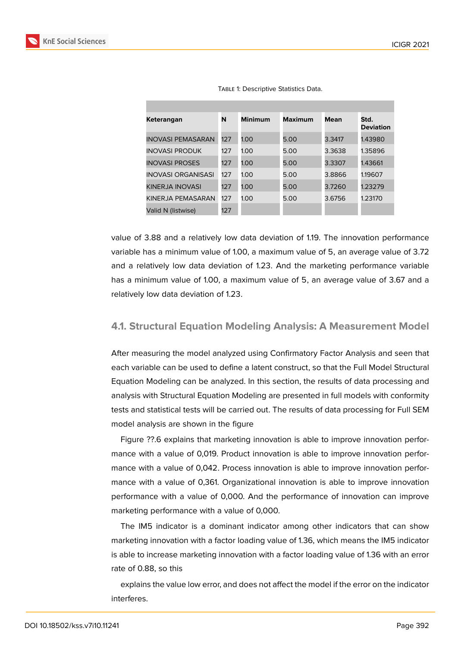

| Keterangan                | N   | <b>Minimum</b> | <b>Maximum</b> | Mean   | Std.<br><b>Deviation</b> |
|---------------------------|-----|----------------|----------------|--------|--------------------------|
| <b>INOVASI PEMASARAN</b>  | 127 | 1.00           | 5.00           | 3.3417 | 1.43980                  |
| <b>INOVASI PRODUK</b>     | 127 | 1.00           | 5.00           | 3.3638 | 1.35896                  |
| <b>INOVASI PROSES</b>     | 127 | 1.00           | 5.00           | 3.3307 | 1.43661                  |
| <b>INOVASI ORGANISASI</b> | 127 | 1.00           | 5.00           | 3.8866 | 1.19607                  |
| KINERJA INOVASI           | 127 | 1.00           | 5.00           | 3.7260 | 1.23279                  |
| KINERJA PEMASARAN         | 127 | 1.00           | 5.00           | 3.6756 | 1.23170                  |
| Valid N (listwise)        | 127 |                |                |        |                          |

TABLE 1: Descriptive Statistics Data.

value of 3.88 and a relatively low data deviation of 1.19. The innovation performance variable has a minimum value of 1.00, a maximum value of 5, an average value of 3.72 and a relatively low data deviation of 1.23. And the marketing performance variable has a minimum value of 1.00, a maximum value of 5, an average value of 3.67 and a relatively low data deviation of 1.23.

#### **4.1. Structural Equation Modeling Analysis: A Measurement Model**

After measuring the model analyzed using Confirmatory Factor Analysis and seen that each variable can be used to define a latent construct, so that the Full Model Structural Equation Modeling can be analyzed. In this section, the results of data processing and analysis with Structural Equation Modeling are presented in full models with conformity tests and statistical tests will be carried out. The results of data processing for Full SEM model analysis are shown in the figure

Figure ??.6 explains that marketing innovation is able to improve innovation performance with a value of 0,019. Product innovation is able to improve innovation performance with a value of 0,042. Process innovation is able to improve innovation performance with a value of 0,361. Organizational innovation is able to improve innovation performance with a value of 0,000. And the performance of innovation can improve marketing performance with a value of 0,000.

The IM5 indicator is a dominant indicator among other indicators that can show marketing innovation with a factor loading value of 1.36, which means the IM5 indicator is able to increase marketing innovation with a factor loading value of 1.36 with an error rate of 0.88, so this

explains the value low error, and does not affect the model if the error on the indicator interferes.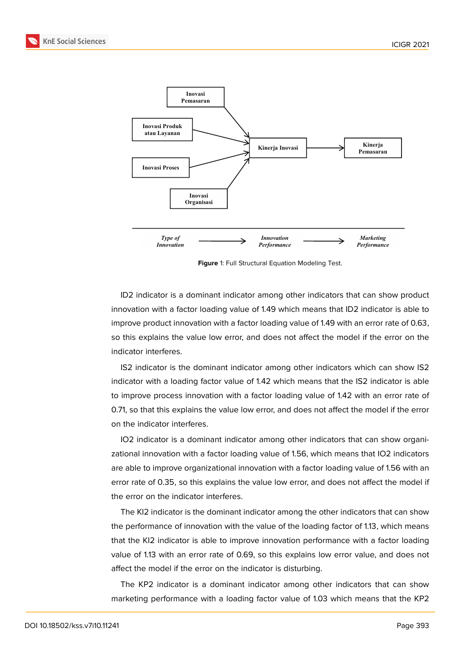



**Figure** 1: Full Structural Equation Modeling Test.

ID2 indicator is a dominant indicator among other indicators that can show product innovation with a factor loading value of 1.49 which means that ID2 indicator is able to improve product innovation with a factor loading value of 1.49 with an error rate of 0.63, so this explains the value low error, and does not affect the model if the error on the indicator interferes.

IS2 indicator is the dominant indicator among other indicators which can show IS2 indicator with a loading factor value of 1.42 which means that the IS2 indicator is able to improve process innovation with a factor loading value of 1.42 with an error rate of 0.71, so that this explains the value low error, and does not affect the model if the error on the indicator interferes.

IO2 indicator is a dominant indicator among other indicators that can show organizational innovation with a factor loading value of 1.56, which means that IO2 indicators are able to improve organizational innovation with a factor loading value of 1.56 with an error rate of 0.35, so this explains the value low error, and does not affect the model if the error on the indicator interferes.

The KI2 indicator is the dominant indicator among the other indicators that can show the performance of innovation with the value of the loading factor of 1.13, which means that the KI2 indicator is able to improve innovation performance with a factor loading value of 1.13 with an error rate of 0.69, so this explains low error value, and does not affect the model if the error on the indicator is disturbing.

The KP2 indicator is a dominant indicator among other indicators that can show marketing performance with a loading factor value of 1.03 which means that the KP2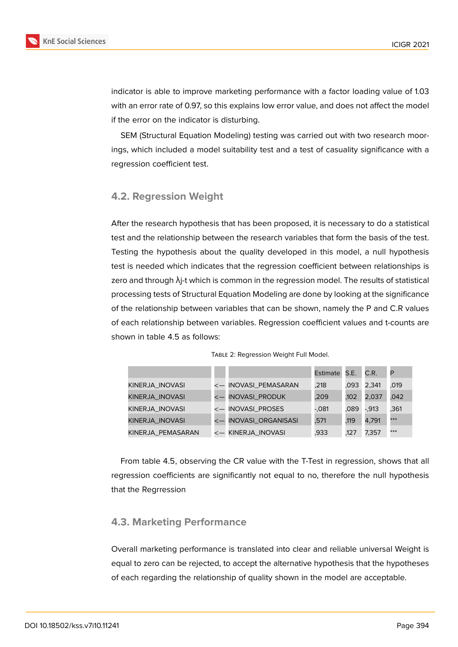

indicator is able to improve marketing performance with a factor loading value of 1.03 with an error rate of 0.97, so this explains low error value, and does not affect the model if the error on the indicator is disturbing.

SEM (Structural Equation Modeling) testing was carried out with two research moorings, which included a model suitability test and a test of casuality significance with a regression coefficient test.

### **4.2. Regression Weight**

After the research hypothesis that has been proposed, it is necessary to do a statistical test and the relationship between the research variables that form the basis of the test. Testing the hypothesis about the quality developed in this model, a null hypothesis test is needed which indicates that the regression coefficient between relationships is zero and through  $\lambda$ <sub>j</sub>-t which is common in the regression model. The results of statistical processing tests of Structural Equation Modeling are done by looking at the significance of the relationship between variables that can be shown, namely the P and C.R values of each relationship between variables. Regression coefficient values and t-counts are shown in table 4.5 as follows:

|                   |                           | Estimate S.E. |      | C.R.     | P    |
|-------------------|---------------------------|---------------|------|----------|------|
| KINERJA_INOVASI   | <- INOVASI_PEMASARAN      | .218          | .093 | 2,341    | .019 |
| KINERJA_INOVASI   | <b>INOVASI_PRODUK</b>     | .209          | .102 | 2,037    | ,042 |
| KINERJA_INOVASI   | <- INOVASI_PROSES         | -.081         | .089 | $-0.913$ | .361 |
| KINERJA INOVASI   | <b>INOVASI_ORGANISASI</b> | .571          | .119 | 4,791    | ***  |
| KINERJA PEMASARAN | <- KINERJA_INOVASI        | .933          | .127 | 7.357    | ***  |

Table 2: Regression Weight Full Model.

From table 4.5, observing the CR value with the T-Test in regression, shows that all regression coefficients are significantly not equal to no, therefore the null hypothesis that the Regrression

### **4.3. Marketing Performance**

Overall marketing performance is translated into clear and reliable universal Weight is equal to zero can be rejected, to accept the alternative hypothesis that the hypotheses of each regarding the relationship of quality shown in the model are acceptable.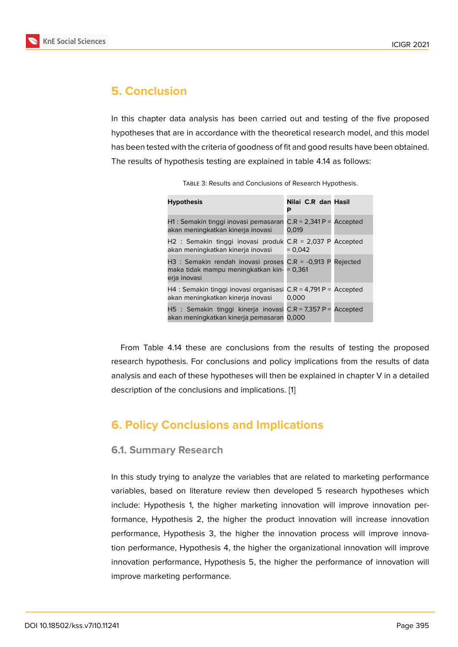# **5. Conclusion**

In this chapter data analysis has been carried out and testing of the five proposed hypotheses that are in accordance with the theoretical research model, and this model has been tested with the criteria of goodness of fit and good results have been obtained. The results of hypothesis testing are explained in table 4.14 as follows:

| <b>Hypothesis</b>                                                                                                 | Nilai C.R dan Hasil<br>Р            |
|-------------------------------------------------------------------------------------------------------------------|-------------------------------------|
| H1 : Semakin tinggi inovasi pemasaran<br>akan meningkatkan kinerja inovasi                                        | $C.R = 2,341 P =$ Accepted<br>0.019 |
| H2 : Semakin tinggi inovasi produk $C.R = 2,037$ P Accepted<br>akan meningkatkan kinerja inovasi                  | $= 0.042$                           |
| H3 : Semakin rendah inovasi proses $C.R = -0.913 P$<br>maka tidak mampu meningkatkan kin- = 0,361<br>erja inovasi | Rejected                            |
| H4 : Semakin tinggi inovasi organisasi $C.R = 4,791 P =$ Accepted<br>akan meningkatkan kinerja inovasi            | 0.000                               |
| H5 : Semakin tinggi kinerja inovasi C.R = 7,357 P =<br>akan meningkatkan kinerja pemasaran 0,000                  | Accepted                            |

TABLE 3: Results and Conclusions of Research Hypothesis.

From Table 4.14 these are conclusions from the results of testing the proposed research hypothesis. For conclusions and policy implications from the results of data analysis and each of these hypotheses will then be explained in chapter V in a detailed description of the conclusions and implications. [1]

## **6. Policy Conclusions and Implic[a](#page-11-5)tions**

#### **6.1. Summary Research**

In this study trying to analyze the variables that are related to marketing performance variables, based on literature review then developed 5 research hypotheses which include: Hypothesis 1, the higher marketing innovation will improve innovation performance, Hypothesis 2, the higher the product innovation will increase innovation performance, Hypothesis 3, the higher the innovation process will improve innovation performance, Hypothesis 4, the higher the organizational innovation will improve innovation performance, Hypothesis 5, the higher the performance of innovation will improve marketing performance.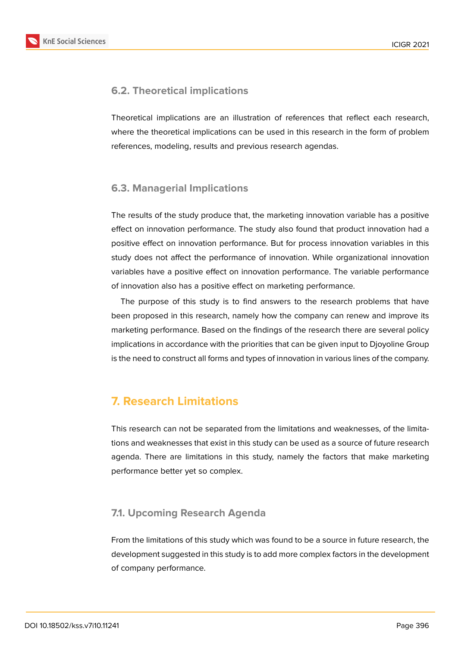

### **6.2. Theoretical implications**

Theoretical implications are an illustration of references that reflect each research, where the theoretical implications can be used in this research in the form of problem references, modeling, results and previous research agendas.

### **6.3. Managerial Implications**

The results of the study produce that, the marketing innovation variable has a positive effect on innovation performance. The study also found that product innovation had a positive effect on innovation performance. But for process innovation variables in this study does not affect the performance of innovation. While organizational innovation variables have a positive effect on innovation performance. The variable performance of innovation also has a positive effect on marketing performance.

The purpose of this study is to find answers to the research problems that have been proposed in this research, namely how the company can renew and improve its marketing performance. Based on the findings of the research there are several policy implications in accordance with the priorities that can be given input to Djoyoline Group is the need to construct all forms and types of innovation in various lines of the company.

# **7. Research Limitations**

This research can not be separated from the limitations and weaknesses, of the limitations and weaknesses that exist in this study can be used as a source of future research agenda. There are limitations in this study, namely the factors that make marketing performance better yet so complex.

### **7.1. Upcoming Research Agenda**

From the limitations of this study which was found to be a source in future research, the development suggested in this study is to add more complex factors in the development of company performance.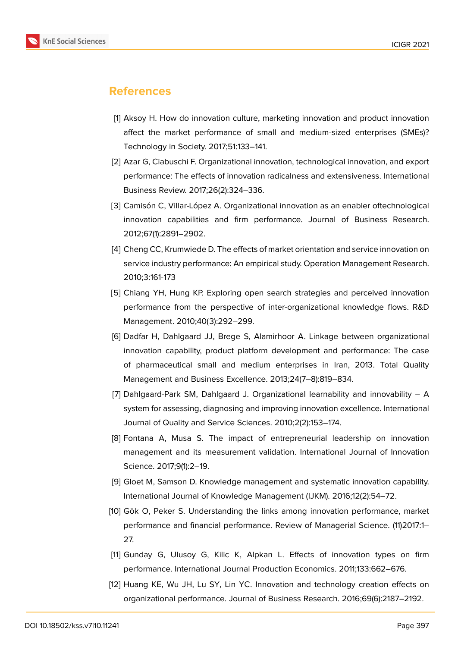

## **References**

- <span id="page-11-5"></span>[1] Aksoy H. How do innovation culture, marketing innovation and product innovation affect the market performance of small and medium-sized enterprises (SMEs)? Technology in Society. 2017;51:133–141.
- <span id="page-11-2"></span>[2] Azar G, Ciabuschi F. Organizational innovation, technological innovation, and export performance: The effects of innovation radicalness and extensiveness. International Business Review. 2017;26(2):324–336.
- [3] Camisón C, Villar-López A. Organizational innovation as an enabler oftechnological innovation capabilities and firm performance. Journal of Business Research. 2012;67(1):2891–2902.
- [4] Cheng CC, Krumwiede D. The effects of market orientation and service innovation on service industry performance: An empirical study. Operation Management Research. 2010;3:161-173
- <span id="page-11-1"></span>[5] Chiang YH, Hung KP. Exploring open search strategies and perceived innovation performance from the perspective of inter-organizational knowledge flows. R&D Management. 2010;40(3):292–299.
- <span id="page-11-3"></span>[6] Dadfar H, Dahlgaard JJ, Brege S, Alamirhoor A. Linkage between organizational innovation capability, product platform development and performance: The case of pharmaceutical small and medium enterprises in Iran, 2013. Total Quality Management and Business Excellence. 2013;24(7–8):819–834.
- [7] Dahlgaard-Park SM, Dahlgaard J. Organizational learnability and innovability A system for assessing, diagnosing and improving innovation excellence. International Journal of Quality and Service Sciences. 2010;2(2):153–174.
- [8] Fontana A, Musa S. The impact of entrepreneurial leadership on innovation management and its measurement validation. International Journal of Innovation Science. 2017;9(1):2–19.
- [9] Gloet M, Samson D. Knowledge management and systematic innovation capability. International Journal of Knowledge Management (IJKM). 2016;12(2):54–72.
- <span id="page-11-4"></span>[10] Gök O, Peker S. Understanding the links among innovation performance, market performance and financial performance. Review of Managerial Science. (11)2017:1– 27.
- <span id="page-11-0"></span>[11] Gunday G, Ulusoy G, Kilic K, Alpkan L. Effects of innovation types on firm performance. International Journal Production Economics. 2011;133:662–676.
- [12] Huang KE, Wu JH, Lu SY, Lin YC. Innovation and technology creation effects on organizational performance. Journal of Business Research. 2016;69(6):2187–2192.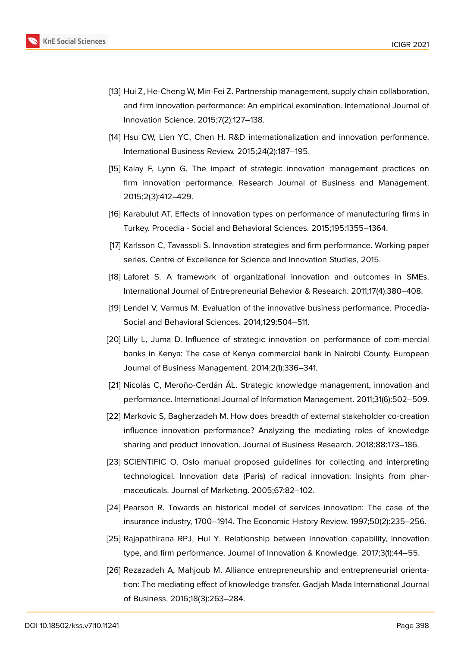

- [13] Hui Z, He-Cheng W, Min-Fei Z. Partnership management, supply chain collaboration, and firm innovation performance: An empirical examination. International Journal of Innovation Science. 2015;7(2):127–138.
- [14] Hsu CW, Lien YC, Chen H. R&D internationalization and innovation performance. International Business Review. 2015;24(2):187–195.
- [15] Kalay F, Lynn G. The impact of strategic innovation management practices on firm innovation performance. Research Journal of Business and Management. 2015;2(3):412–429.
- [16] Karabulut AT. Effects of innovation types on performance of manufacturing firms in Turkey. Procedia - Social and Behavioral Sciences. 2015;195:1355–1364.
- [17] Karlsson C, Tavassoli S. Innovation strategies and firm performance. Working paper series. Centre of Excellence for Science and Innovation Studies, 2015.
- [18] Laforet S. A framework of organizational innovation and outcomes in SMEs. International Journal of Entrepreneurial Behavior & Research. 2011;17(4):380–408.
- [19] Lendel V, Varmus M. Evaluation of the innovative business performance. Procedia-Social and Behavioral Sciences. 2014;129:504–511.
- [20] Lilly L, Juma D. Influence of strategic innovation on performance of com-mercial banks in Kenya: The case of Kenya commercial bank in Nairobi County. European Journal of Business Management. 2014;2(1):336–341.
- [21] Nicolás C, Meroño-Cerdán ÁL. Strategic knowledge management, innovation and performance. International Journal of Information Management. 2011;31(6):502–509.
- [22] Markovic S, Bagherzadeh M. How does breadth of external stakeholder co-creation influence innovation performance? Analyzing the mediating roles of knowledge sharing and product innovation. Journal of Business Research. 2018;88:173–186.
- <span id="page-12-0"></span>[23] SCIENTIFIC O. Oslo manual proposed guidelines for collecting and interpreting technological. Innovation data (Paris) of radical innovation: Insights from pharmaceuticals. Journal of Marketing. 2005;67:82–102.
- [24] Pearson R. Towards an historical model of services innovation: The case of the insurance industry, 1700–1914. The Economic History Review. 1997;50(2):235–256.
- [25] Rajapathirana RPJ, Hui Y. Relationship between innovation capability, innovation type, and firm performance. Journal of Innovation & Knowledge. 2017;3(1):44–55.
- [26] Rezazadeh A, Mahjoub M. Alliance entrepreneurship and entrepreneurial orientation: The mediating effect of knowledge transfer. Gadjah Mada International Journal of Business. 2016;18(3):263–284.